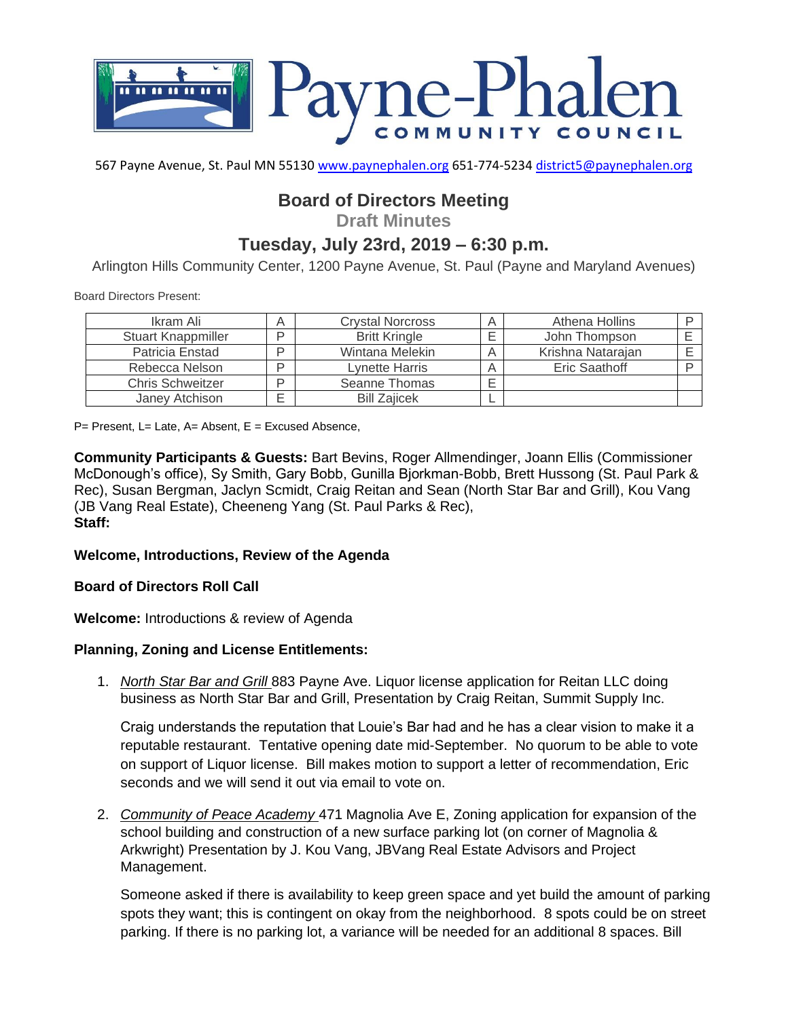

567 Payne Avenue, St. Paul MN 55130 [www.paynephalen.org](http://www.paynephalen.org/) 651-774-5234 [district5@paynephalen.org](mailto:district5@paynephalen.org)

# **Board of Directors Meeting**

**Draft Minutes**

## **Tuesday, July 23rd, 2019 – 6:30 p.m.**

Arlington Hills Community Center, 1200 Payne Avenue, St. Paul (Payne and Maryland Avenues)

Board Directors Present:

| Ikram Ali                 | A | <b>Crystal Norcross</b> | Athena Hollins    |  |
|---------------------------|---|-------------------------|-------------------|--|
| <b>Stuart Knappmiller</b> | D | <b>Britt Kringle</b>    | John Thompson     |  |
| Patricia Enstad           | D | Wintana Melekin         | Krishna Natarajan |  |
| Rebecca Nelson            | D | Lynette Harris          | Eric Saathoff     |  |
| <b>Chris Schweitzer</b>   | D | Seanne Thomas           |                   |  |
| Janey Atchison            | ⊏ | <b>Bill Zaiicek</b>     |                   |  |

 $P=$  Present, L= Late, A= Absent, E = Excused Absence,

**Community Participants & Guests:** Bart Bevins, Roger Allmendinger, Joann Ellis (Commissioner McDonough's office), Sy Smith, Gary Bobb, Gunilla Bjorkman-Bobb, Brett Hussong (St. Paul Park & Rec), Susan Bergman, Jaclyn Scmidt, Craig Reitan and Sean (North Star Bar and Grill), Kou Vang (JB Vang Real Estate), Cheeneng Yang (St. Paul Parks & Rec), **Staff:**

#### **Welcome, Introductions, Review of the Agenda**

**Board of Directors Roll Call**

**Welcome:** Introductions & review of Agenda

#### **Planning, Zoning and License Entitlements:**

1. *North Star Bar and Grill* 883 Payne Ave. Liquor license application for Reitan LLC doing business as North Star Bar and Grill, Presentation by Craig Reitan, Summit Supply Inc.

Craig understands the reputation that Louie's Bar had and he has a clear vision to make it a reputable restaurant. Tentative opening date mid-September. No quorum to be able to vote on support of Liquor license. Bill makes motion to support a letter of recommendation, Eric seconds and we will send it out via email to vote on.

2. *Community of Peace Academy* 471 Magnolia Ave E, Zoning application for expansion of the school building and construction of a new surface parking lot (on corner of Magnolia & Arkwright) Presentation by J. Kou Vang, JBVang Real Estate Advisors and Project Management.

Someone asked if there is availability to keep green space and yet build the amount of parking spots they want; this is contingent on okay from the neighborhood. 8 spots could be on street parking. If there is no parking lot, a variance will be needed for an additional 8 spaces. Bill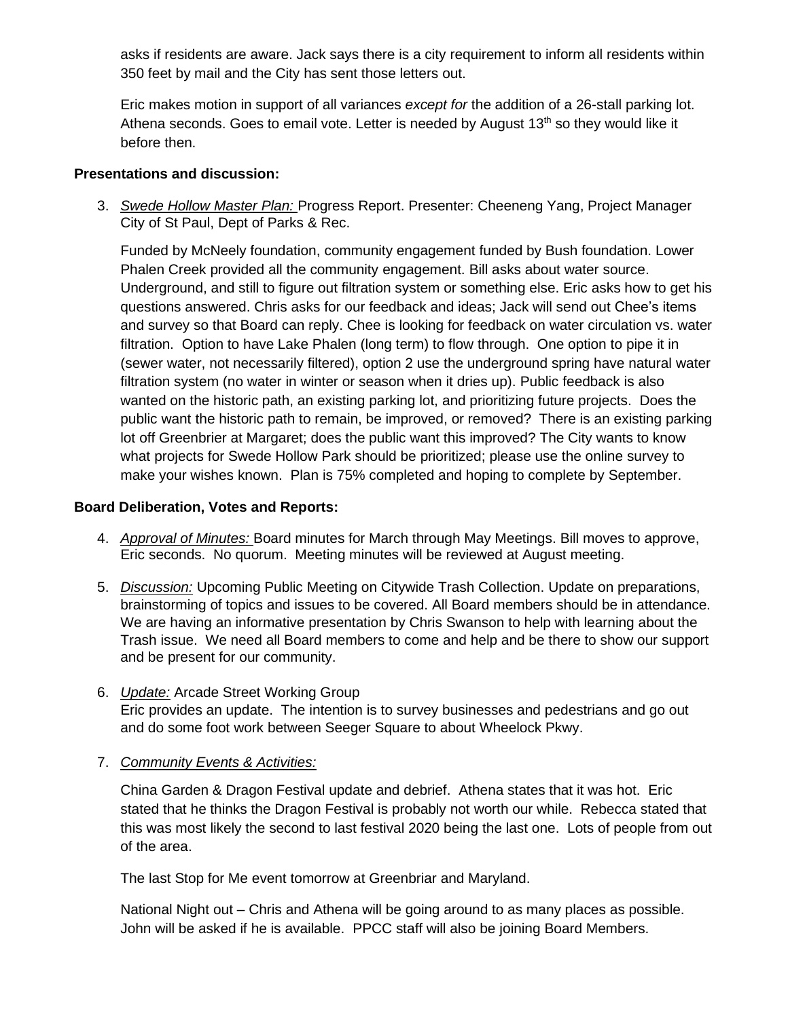asks if residents are aware. Jack says there is a city requirement to inform all residents within 350 feet by mail and the City has sent those letters out.

Eric makes motion in support of all variances *except for* the addition of a 26-stall parking lot. Athena seconds. Goes to email vote. Letter is needed by August  $13<sup>th</sup>$  so they would like it before then.

## **Presentations and discussion:**

3. *Swede Hollow Master Plan:* Progress Report. Presenter: Cheeneng Yang, Project Manager City of St Paul, Dept of Parks & Rec.

Funded by McNeely foundation, community engagement funded by Bush foundation. Lower Phalen Creek provided all the community engagement. Bill asks about water source. Underground, and still to figure out filtration system or something else. Eric asks how to get his questions answered. Chris asks for our feedback and ideas; Jack will send out Chee's items and survey so that Board can reply. Chee is looking for feedback on water circulation vs. water filtration. Option to have Lake Phalen (long term) to flow through. One option to pipe it in (sewer water, not necessarily filtered), option 2 use the underground spring have natural water filtration system (no water in winter or season when it dries up). Public feedback is also wanted on the historic path, an existing parking lot, and prioritizing future projects. Does the public want the historic path to remain, be improved, or removed? There is an existing parking lot off Greenbrier at Margaret; does the public want this improved? The City wants to know what projects for Swede Hollow Park should be prioritized; please use the online survey to make your wishes known. Plan is 75% completed and hoping to complete by September.

## **Board Deliberation, Votes and Reports:**

- 4. *Approval of Minutes:* Board minutes for March through May Meetings. Bill moves to approve, Eric seconds. No quorum. Meeting minutes will be reviewed at August meeting.
- 5. *Discussion:* Upcoming Public Meeting on Citywide Trash Collection. Update on preparations, brainstorming of topics and issues to be covered. All Board members should be in attendance. We are having an informative presentation by Chris Swanson to help with learning about the Trash issue. We need all Board members to come and help and be there to show our support and be present for our community.
- 6. *Update:* Arcade Street Working Group Eric provides an update. The intention is to survey businesses and pedestrians and go out and do some foot work between Seeger Square to about Wheelock Pkwy.
- 7. *Community Events & Activities:*

China Garden & Dragon Festival update and debrief. Athena states that it was hot. Eric stated that he thinks the Dragon Festival is probably not worth our while. Rebecca stated that this was most likely the second to last festival 2020 being the last one. Lots of people from out of the area.

The last Stop for Me event tomorrow at Greenbriar and Maryland.

National Night out – Chris and Athena will be going around to as many places as possible. John will be asked if he is available. PPCC staff will also be joining Board Members.